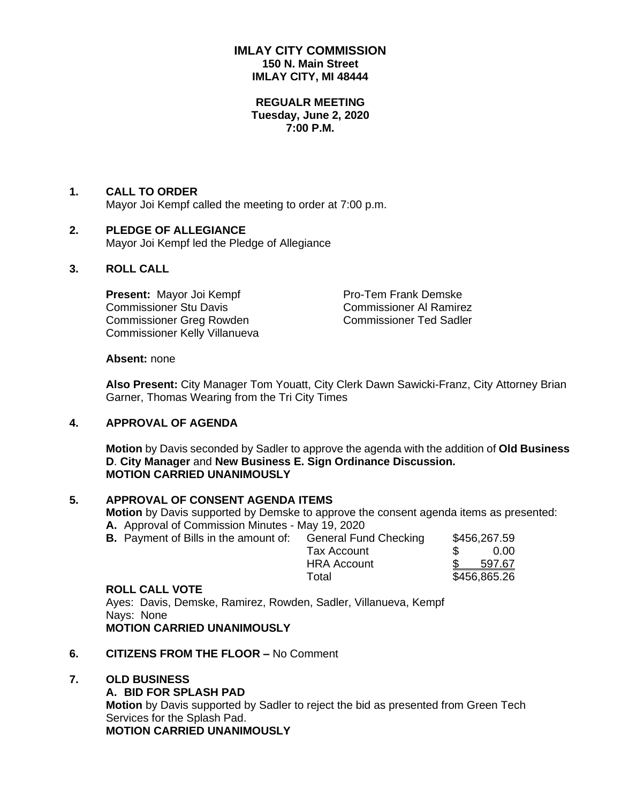# **IMLAY CITY COMMISSION 150 N. Main Street IMLAY CITY, MI 48444**

#### **REGUALR MEETING Tuesday, June 2, 2020 7:00 P.M.**

#### **1. CALL TO ORDER**

Mayor Joi Kempf called the meeting to order at 7:00 p.m.

# **2. PLEDGE OF ALLEGIANCE**

Mayor Joi Kempf led the Pledge of Allegiance

# **3. ROLL CALL**

**Present:** Mayor Joi Kempf Pro-Tem Frank Demske Commissioner Stu Davis **Commissioner Al Ramirez** Commissioner Greg Rowden Commissioner Ted Sadler Commissioner Kelly Villanueva

#### **Absent:** none

**Also Present:** City Manager Tom Youatt, City Clerk Dawn Sawicki-Franz, City Attorney Brian Garner, Thomas Wearing from the Tri City Times

# **4. APPROVAL OF AGENDA**

**Motion** by Davis seconded by Sadler to approve the agenda with the addition of **Old Business D**. **City Manager** and **New Business E. Sign Ordinance Discussion. MOTION CARRIED UNANIMOUSLY**

# **5. APPROVAL OF CONSENT AGENDA ITEMS**

**Motion** by Davis supported by Demske to approve the consent agenda items as presented: **A.** Approval of Commission Minutes - May 19, 2020

**B.** Payment of Bills in the amount of: General Fund Checking \$456,267.59 Tax Account \$ 0.00 HRA Account \$ 597.67 Total \$456,865.26

#### **ROLL CALL VOTE**

Ayes: Davis, Demske, Ramirez, Rowden, Sadler, Villanueva, Kempf Nays: None **MOTION CARRIED UNANIMOUSLY**

#### **6. CITIZENS FROM THE FLOOR –** No Comment

#### **7. OLD BUSINESS**

**A. BID FOR SPLASH PAD Motion** by Davis supported by Sadler to reject the bid as presented from Green Tech Services for the Splash Pad. **MOTION CARRIED UNANIMOUSLY**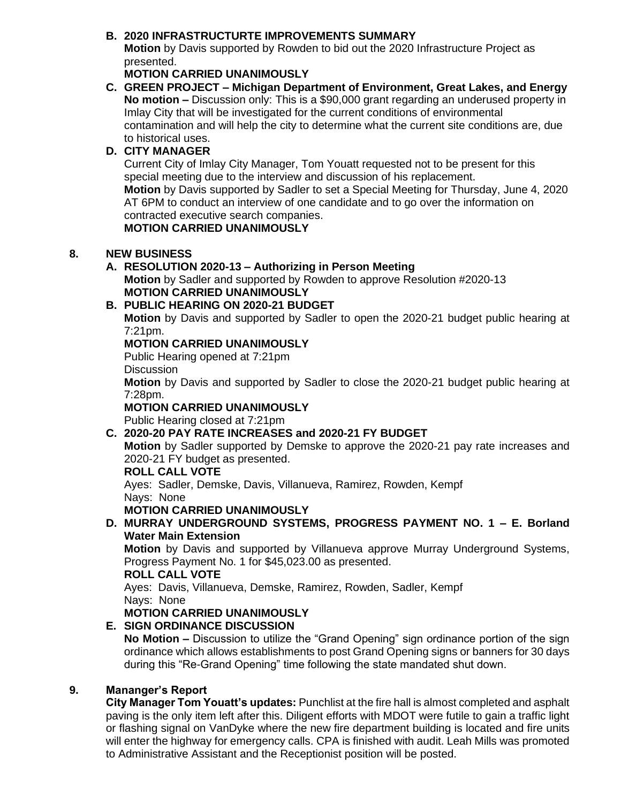# **B. 2020 INFRASTRUCTURTE IMPROVEMENTS SUMMARY**

**Motion** by Davis supported by Rowden to bid out the 2020 Infrastructure Project as presented.

# **MOTION CARRIED UNANIMOUSLY**

**C. GREEN PROJECT – Michigan Department of Environment, Great Lakes, and Energy No motion –** Discussion only: This is a \$90,000 grant regarding an underused property in Imlay City that will be investigated for the current conditions of environmental contamination and will help the city to determine what the current site conditions are, due to historical uses.

# **D. CITY MANAGER**

Current City of Imlay City Manager, Tom Youatt requested not to be present for this special meeting due to the interview and discussion of his replacement. **Motion** by Davis supported by Sadler to set a Special Meeting for Thursday, June 4, 2020 AT 6PM to conduct an interview of one candidate and to go over the information on contracted executive search companies.

# **MOTION CARRIED UNANIMOUSLY**

# **8. NEW BUSINESS**

# **A. RESOLUTION 2020-13 – Authorizing in Person Meeting**

**Motion** by Sadler and supported by Rowden to approve Resolution #2020-13 **MOTION CARRIED UNANIMOUSLY**

# **B. PUBLIC HEARING ON 2020-21 BUDGET**

**Motion** by Davis and supported by Sadler to open the 2020-21 budget public hearing at 7:21pm.

# **MOTION CARRIED UNANIMOUSLY**

Public Hearing opened at 7:21pm

**Discussion** 

**Motion** by Davis and supported by Sadler to close the 2020-21 budget public hearing at 7:28pm.

# **MOTION CARRIED UNANIMOUSLY**

Public Hearing closed at 7:21pm

# **C. 2020-20 PAY RATE INCREASES and 2020-21 FY BUDGET**

**Motion** by Sadler supported by Demske to approve the 2020-21 pay rate increases and 2020-21 FY budget as presented.

# **ROLL CALL VOTE**

Ayes: Sadler, Demske, Davis, Villanueva, Ramirez, Rowden, Kempf Nays: None

# **MOTION CARRIED UNANIMOUSLY**

# **D. MURRAY UNDERGROUND SYSTEMS, PROGRESS PAYMENT NO. 1 – E. Borland Water Main Extension**

**Motion** by Davis and supported by Villanueva approve Murray Underground Systems, Progress Payment No. 1 for \$45,023.00 as presented.

# **ROLL CALL VOTE**

Ayes: Davis, Villanueva, Demske, Ramirez, Rowden, Sadler, Kempf Nays: None

# **MOTION CARRIED UNANIMOUSLY**

# **E. SIGN ORDINANCE DISCUSSION**

**No Motion –** Discussion to utilize the "Grand Opening" sign ordinance portion of the sign ordinance which allows establishments to post Grand Opening signs or banners for 30 days during this "Re-Grand Opening" time following the state mandated shut down.

# **9. Mananger's Report**

**City Manager Tom Youatt's updates:** Punchlist at the fire hall is almost completed and asphalt paving is the only item left after this. Diligent efforts with MDOT were futile to gain a traffic light or flashing signal on VanDyke where the new fire department building is located and fire units will enter the highway for emergency calls. CPA is finished with audit. Leah Mills was promoted to Administrative Assistant and the Receptionist position will be posted.